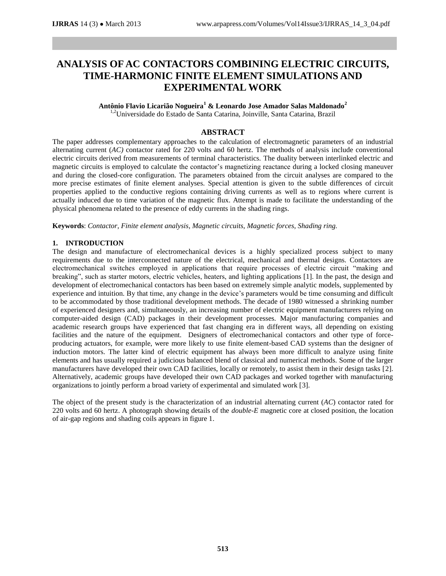# **ANALYSIS OF AC CONTACTORS COMBINING ELECTRIC CIRCUITS, TIME-HARMONIC FINITE ELEMENT SIMULATIONS AND EXPERIMENTAL WORK**

# **Antônio Flavio Licarião Nogueira<sup>1</sup> & Leonardo Jose Amador Salas Maldonado<sup>2</sup>**

<sup>1,2</sup>Universidade do Estado de Santa Catarina, Joinville, Santa Catarina, Brazil

# **ABSTRACT**

The paper addresses complementary approaches to the calculation of electromagnetic parameters of an industrial alternating current (*AC)* contactor rated for 220 volts and 60 hertz. The methods of analysis include conventional electric circuits derived from measurements of terminal characteristics. The duality between interlinked electric and magnetic circuits is employed to calculate the contactor's magnetizing reactance during a locked closing maneuver and during the closed-core configuration. The parameters obtained from the circuit analyses are compared to the more precise estimates of finite element analyses. Special attention is given to the subtle differences of circuit properties applied to the conductive regions containing driving currents as well as to regions where current is actually induced due to time variation of the magnetic flux. Attempt is made to facilitate the understanding of the physical phenomena related to the presence of eddy currents in the shading rings.

**Keywords**: *Contactor, Finite element analysis, Magnetic circuits, Magnetic forces, Shading ring.*

# **1. INTRODUCTION**

The design and manufacture of electromechanical devices is a highly specialized process subject to many requirements due to the interconnected nature of the electrical, mechanical and thermal designs. Contactors are electromechanical switches employed in applications that require processes of electric circuit "making and breaking", such as starter motors, electric vehicles, heaters, and lighting applications [1]. In the past, the design and development of electromechanical contactors has been based on extremely simple analytic models, supplemented by experience and intuition. By that time, any change in the device's parameters would be time consuming and difficult to be accommodated by those traditional development methods. The decade of 1980 witnessed a shrinking number of experienced designers and, simultaneously, an increasing number of electric equipment manufacturers relying on computer-aided design (CAD) packages in their development processes. Major manufacturing companies and academic research groups have experienced that fast changing era in different ways, all depending on existing facilities and the nature of the equipment. Designers of electromechanical contactors and other type of forceproducing actuators, for example, were more likely to use finite element-based CAD systems than the designer of induction motors. The latter kind of electric equipment has always been more difficult to analyze using finite elements and has usually required a judicious balanced blend of classical and numerical methods. Some of the larger manufacturers have developed their own CAD facilities, locally or remotely, to assist them in their design tasks [2]. Alternatively, academic groups have developed their own CAD packages and worked together with manufacturing organizations to jointly perform a broad variety of experimental and simulated work [3].

The object of the present study is the characterization of an industrial alternating current (*AC*) contactor rated for 220 volts and 60 hertz. A photograph showing details of the *double-E* magnetic core at closed position, the location of air-gap regions and shading coils appears in figure 1.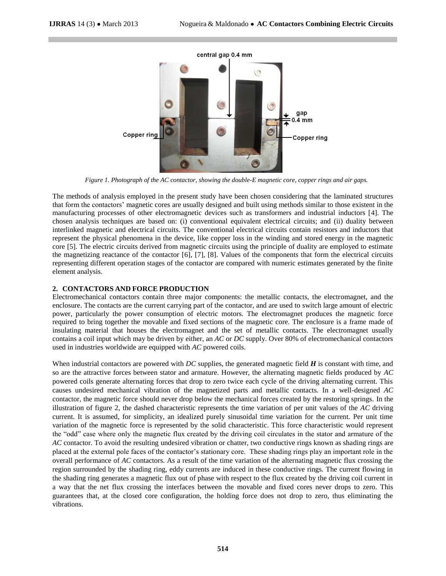

*Figure 1. Photograph of the AC contactor, showing the double-E magnetic core, copper rings and air gaps.* 

The methods of analysis employed in the present study have been chosen considering that the laminated structures that form the contactors' magnetic cores are usually designed and built using methods similar to those existent in the manufacturing processes of other electromagnetic devices such as transformers and industrial inductors [4]. The chosen analysis techniques are based on: (i) conventional equivalent electrical circuits; and (ii) duality between interlinked magnetic and electrical circuits. The conventional electrical circuits contain resistors and inductors that represent the physical phenomena in the device, like copper loss in the winding and stored energy in the magnetic core [5]. The electric circuits derived from magnetic circuits using the principle of duality are employed to estimate the magnetizing reactance of the contactor [6], [7], [8]. Values of the components that form the electrical circuits representing different operation stages of the contactor are compared with numeric estimates generated by the finite element analysis.

# **2. CONTACTORS AND FORCE PRODUCTION**

Electromechanical contactors contain three major components: the metallic contacts, the electromagnet, and the enclosure. The contacts are the current carrying part of the contactor, and are used to switch large amount of electric power, particularly the power consumption of electric motors. The electromagnet produces the magnetic force required to bring together the movable and fixed sections of the magnetic core. The enclosure is a frame made of insulating material that houses the electromagnet and the set of metallic contacts. The electromagnet usually contains a coil input which may be driven by either, an *AC* or *DC* supply. Over 80% of electromechanical contactors used in industries worldwide are equipped with *AC* powered coils.

When industrial contactors are powered with *DC* supplies, the generated magnetic field *H* is constant with time, and so are the attractive forces between stator and armature. However, the alternating magnetic fields produced by *AC* powered coils generate alternating forces that drop to zero twice each cycle of the driving alternating current. This causes undesired mechanical vibration of the magnetized parts and metallic contacts. In a well-designed *AC* contactor, the magnetic force should never drop below the mechanical forces created by the restoring springs. In the illustration of figure 2, the dashed characteristic represents the time variation of per unit values of the *AC* driving current. It is assumed, for simplicity, an idealized purely sinusoidal time variation for the current. Per unit time variation of the magnetic force is represented by the solid characteristic. This force characteristic would represent the "odd" case where only the magnetic flux created by the driving coil circulates in the stator and armature of the *AC* contactor. To avoid the resulting undesired vibration or chatter, two conductive rings known as shading rings are placed at the external pole faces of the contactor's stationary core. These shading rings play an important role in the overall performance of *AC* contactors. As a result of the time variation of the alternating magnetic flux crossing the region surrounded by the shading ring, eddy currents are induced in these conductive rings. The current flowing in the shading ring generates a magnetic flux out of phase with respect to the flux created by the driving coil current in a way that the net flux crossing the interfaces between the movable and fixed cores never drops to zero. This guarantees that, at the closed core configuration, the holding force does not drop to zero, thus eliminating the vibrations.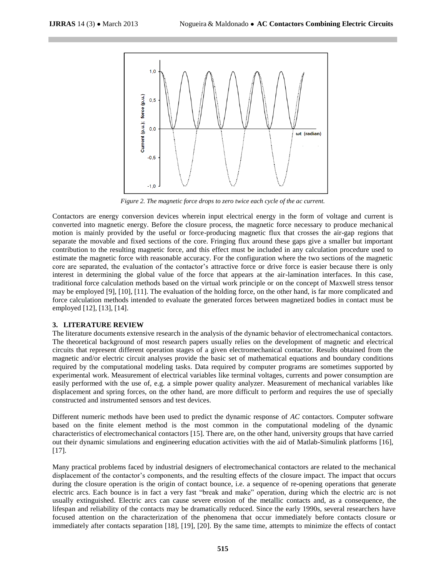

*Figure 2. The magnetic force drops to zero twice each cycle of the ac current.*

Contactors are energy conversion devices wherein input electrical energy in the form of voltage and current is converted into magnetic energy. Before the closure process, the magnetic force necessary to produce mechanical motion is mainly provided by the useful or force-producing magnetic flux that crosses the air-gap regions that separate the movable and fixed sections of the core. Fringing flux around these gaps give a smaller but important contribution to the resulting magnetic force, and this effect must be included in any calculation procedure used to estimate the magnetic force with reasonable accuracy. For the configuration where the two sections of the magnetic core are separated, the evaluation of the contactor's attractive force or drive force is easier because there is only interest in determining the global value of the force that appears at the air-lamination interfaces. In this case, traditional force calculation methods based on the virtual work principle or on the concept of Maxwell stress tensor may be employed [9], [10], [11]. The evaluation of the holding force, on the other hand, is far more complicated and force calculation methods intended to evaluate the generated forces between magnetized bodies in contact must be employed [12], [13], [14].

### **3. LITERATURE REVIEW**

The literature documents extensive research in the analysis of the dynamic behavior of electromechanical contactors. The theoretical background of most research papers usually relies on the development of magnetic and electrical circuits that represent different operation stages of a given electromechanical contactor. Results obtained from the magnetic and/or electric circuit analyses provide the basic set of mathematical equations and boundary conditions required by the computational modeling tasks. Data required by computer programs are sometimes supported by experimental work. Measurement of electrical variables like terminal voltages, currents and power consumption are easily performed with the use of, e.g. a simple power quality analyzer. Measurement of mechanical variables like displacement and spring forces, on the other hand, are more difficult to perform and requires the use of specially constructed and instrumented sensors and test devices.

Different numeric methods have been used to predict the dynamic response of *AC* contactors. Computer software based on the finite element method is the most common in the computational modeling of the dynamic characteristics of electromechanical contactors [15]. There are, on the other hand, university groups that have carried out their dynamic simulations and engineering education activities with the aid of Matlab-Simulink platforms [16],  $[17]$ .

Many practical problems faced by industrial designers of electromechanical contactors are related to the mechanical displacement of the contactor's components, and the resulting effects of the closure impact. The impact that occurs during the closure operation is the origin of contact bounce, i.e. a sequence of re-opening operations that generate electric arcs. Each bounce is in fact a very fast "break and make" operation, during which the electric arc is not usually extinguished. Electric arcs can cause severe erosion of the metallic contacts and, as a consequence, the lifespan and reliability of the contacts may be dramatically reduced. Since the early 1990s, several researchers have focused attention on the characterization of the phenomena that occur immediately before contacts closure or immediately after contacts separation [18], [19], [20]. By the same time, attempts to minimize the effects of contact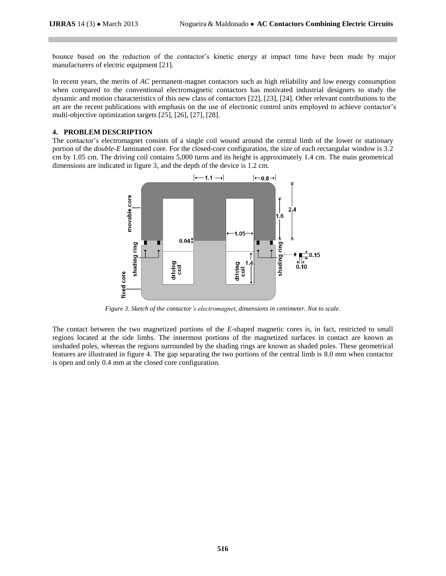bounce based on the reduction of the contactor's kinetic energy at impact time have been made by major manufacturers of electric equipment [21].

In recent years, the merits of *AC* permanent-magnet contactors such as high reliability and low energy consumption when compared to the conventional electromagnetic contactors has motivated industrial designers to study the dynamic and motion characteristics of this new class of contactors [22], [23], [24]. Other relevant contributions to the art are the recent publications with emphasis on the use of electronic control units employed to achieve contactor's multi-objective optimization targets [25], [26], [27], [28].

# **4. PROBLEM DESCRIPTION**

The contactor's electromagnet consists of a single coil wound around the central limb of the lower or stationary portion of the *double-E* laminated core. For the closed-core configuration, the size of each rectangular window is 3.2 cm by 1.05 cm. The driving coil contains 5,000 turns and its height is approximately 1.4 cm. The main geometrical dimensions are indicated in figure 3, and the depth of the device is 1.2 cm.



*Figure 3. Sketch of the contactor's electromagnet, dimensions in centimeter. Not to scale.*

The contact between the two magnetized portions of the *E*-shaped magnetic cores is, in fact, restricted to small regions located at the side limbs. The innermost portions of the magnetized surfaces in contact are known as unshaded poles, whereas the regions surrounded by the shading rings are known as shaded poles. These geometrical features are illustrated in figure 4. The gap separating the two portions of the central limb is 8.0 mm when contactor is open and only 0.4 mm at the closed core configuration.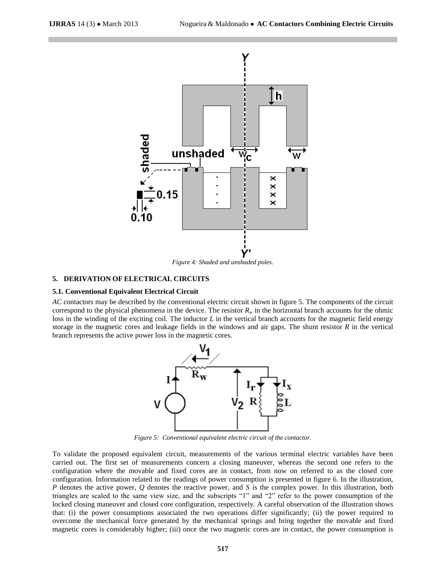

*Figure 4: Shaded and unshaded poles.*

#### **5. DERIVATION OF ELECTRICAL CIRCUITS**

#### **5.1. Conventional Equivalent Electrical Circuit**

*AC* contactors may be described by the conventional electric circuit shown in figure 5. The components of the circuit correspond to the physical phenomena in the device. The resistor  $R_w$  in the horizontal branch accounts for the ohmic loss in the winding of the exciting coil. The inductor *L* in the vertical branch accounts for the magnetic field energy storage in the magnetic cores and leakage fields in the windows and air gaps. The shunt resistor *R* in the vertical branch represents the active power loss in the magnetic cores.



*Figure 5: Conventional equivalent electric circuit of the contactor.*

To validate the proposed equivalent circuit, measurements of the various terminal electric variables have been carried out. The first set of measurements concern a closing maneuver, whereas the second one refers to the configuration where the movable and fixed cores are in contact, from now on referred to as the closed core configuration. Information related to the readings of power consumption is presented in figure 6. In the illustration, *P* denotes the active power, *Q* denotes the reactive power, and *S* is the complex power. In this illustration, both triangles are scaled to the same view size, and the subscripts "1" and "2" refer to the power consumption of the locked closing maneuver and closed core configuration, respectively. A careful observation of the illustration shows that: (i) the power consumptions associated the two operations differ significantly; (ii) the power required to overcome the mechanical force generated by the mechanical springs and bring together the movable and fixed magnetic cores is considerably higher; (iii) once the two magnetic cores are in contact, the power consumption is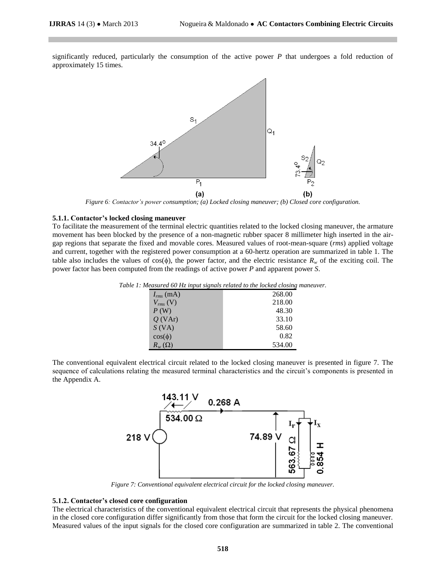significantly reduced, particularly the consumption of the active power *P* that undergoes a fold reduction of approximately 15 times.



*Figure 6: Contactor's power consumption; (a) Locked closing maneuver; (b) Closed core configuration.*

#### **5.1.1. Contactor's locked closing maneuver**

To facilitate the measurement of the terminal electric quantities related to the locked closing maneuver, the armature movement has been blocked by the presence of a non-magnetic rubber spacer 8 millimeter high inserted in the airgap regions that separate the fixed and movable cores. Measured values of root-mean-square (*rms*) applied voltage and current, together with the registered power consumption at a 60-hertz operation are summarized in table 1. The table also includes the values of  $cos(\phi)$ , the power factor, and the electric resistance  $R_w$  of the exciting coil. The power factor has been computed from the readings of active power *P* and apparent power *S*.

| меаѕигеа оо <b>г</b> із іприі ѕіgпаіѕ гетаеа то іпе тоскеа стоѕіпg і |        |  |  |  |
|----------------------------------------------------------------------|--------|--|--|--|
| $I_{rms}$ (mA)                                                       | 268.00 |  |  |  |
| $V_{rms}$ (V)                                                        | 218.00 |  |  |  |
| P(W)                                                                 | 48.30  |  |  |  |
| $Q$ (VAr)                                                            | 33.10  |  |  |  |
| S (VA)                                                               | 58.60  |  |  |  |
| $cos(\phi)$                                                          | 0.82   |  |  |  |
| $R_{w}(\Omega)$                                                      | 534.00 |  |  |  |

*Table 1: Measured 60 Hz input signals related to the locked closing maneuver.*

The conventional equivalent electrical circuit related to the locked closing maneuver is presented in figure 7. The sequence of calculations relating the measured terminal characteristics and the circuit's components is presented in the Appendix A.



*Figure 7: Conventional equivalent electrical circuit for the locked closing maneuver.*

#### **5.1.2. Contactor's closed core configuration**

The electrical characteristics of the conventional equivalent electrical circuit that represents the physical phenomena in the closed core configuration differ significantly from those that form the circuit for the locked closing maneuver. Measured values of the input signals for the closed core configuration are summarized in table 2. The conventional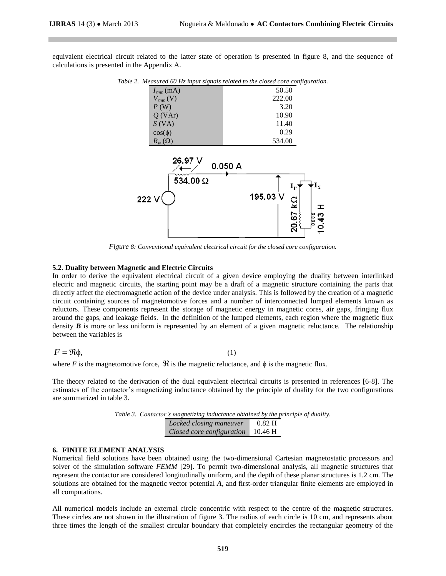equivalent electrical circuit related to the latter state of operation is presented in figure 8, and the sequence of calculations is presented in the Appendix A.

*Table 2. Measured 60 Hz input signals related to the closed core configuration.*

| $\tilde{}$      | $\mathcal{\mathcal{L}}$ |
|-----------------|-------------------------|
| $I_{rms}$ (mA)  | 50.50                   |
| $V_{rms}$ (V)   | 222.00                  |
| P(W)            | 3.20                    |
| $Q$ (VAr)       | 10.90                   |
| $S$ (VA)        | 11.40                   |
| $cos(\phi)$     | 0.29                    |
| $R_{w}(\Omega)$ | 534.00                  |



*Figure 8: Conventional equivalent electrical circuit for the closed core configuration.*

# **5.2. Duality between Magnetic and Electric Circuits**

In order to derive the equivalent electrical circuit of a given device employing the duality between interlinked electric and magnetic circuits, the starting point may be a draft of a magnetic structure containing the parts that directly affect the electromagnetic action of the device under analysis. This is followed by the creation of a magnetic circuit containing sources of magnetomotive forces and a number of interconnected lumped elements known as reluctors. These components represent the storage of magnetic energy in magnetic cores, air gaps, fringing flux around the gaps, and leakage fields. In the definition of the lumped elements, each region where the magnetic flux density *B* is more or less uniform is represented by an element of a given magnetic reluctance. The relationship between the variables is

$$
F = \Re \phi,\tag{1}
$$

where *F* is the magnetomotive force,  $\Re$  is the magnetic reluctance, and  $\phi$  is the magnetic flux.

The theory related to the derivation of the dual equivalent electrical circuits is presented in references [6-8]. The estimates of the contactor's magnetizing inductance obtained by the principle of duality for the two configurations are summarized in table 3.

|  | Table 3. Contactor's magnetizing inductance obtained by the principle of duality. |          |
|--|-----------------------------------------------------------------------------------|----------|
|  | Locked closing maneuver                                                           | $0.82$ H |
|  | Closed core configuration $10.46\text{ H}$                                        |          |

#### **6. FINITE ELEMENT ANALYSIS**

Numerical field solutions have been obtained using the two-dimensional Cartesian magnetostatic processors and solver of the simulation software *FEMM* [29]. To permit two-dimensional analysis, all magnetic structures that represent the contactor are considered longitudinally uniform, and the depth of these planar structures is 1.2 cm. The solutions are obtained for the magnetic vector potential *A*, and first-order triangular finite elements are employed in all computations.

All numerical models include an external circle concentric with respect to the centre of the magnetic structures. These circles are not shown in the illustration of figure 3. The radius of each circle is 10 cm, and represents about three times the length of the smallest circular boundary that completely encircles the rectangular geometry of the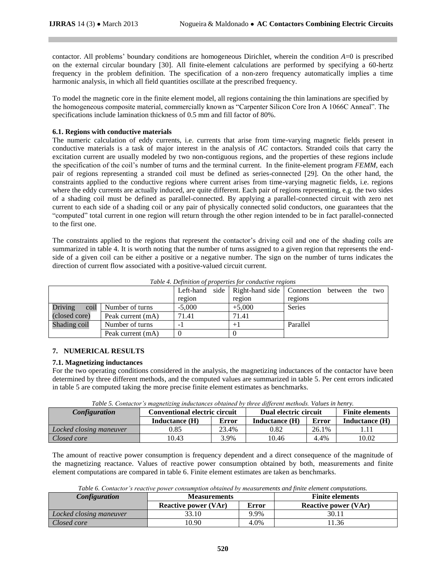contactor. All problems' boundary conditions are homogeneous Dirichlet, wherein the condition *A*=0 is prescribed on the external circular boundary [30]. All finite-element calculations are performed by specifying a 60-hertz frequency in the problem definition. The specification of a non-zero frequency automatically implies a time harmonic analysis, in which all field quantities oscillate at the prescribed frequency.

To model the magnetic core in the finite element model, all regions containing the thin laminations are specified by the homogeneous composite material, commercially known as "Carpenter Silicon Core Iron A 1066C Anneal". The specifications include lamination thickness of 0.5 mm and fill factor of 80%.

# **6.1. Regions with conductive materials**

The numeric calculation of eddy currents, i.e. currents that arise from time-varying magnetic fields present in conductive materials is a task of major interest in the analysis of *AC* contactors. Stranded coils that carry the excitation current are usually modeled by two non-contiguous regions, and the properties of these regions include the specification of the coil's number of turns and the terminal current. In the finite-element program *FEMM*, each pair of regions representing a stranded coil must be defined as series-connected [29]. On the other hand, the constraints applied to the conductive regions where current arises from time-varying magnetic fields, i.e. regions where the eddy currents are actually induced, are quite different. Each pair of regions representing, e.g. the two sides of a shading coil must be defined as parallel-connected. By applying a parallel-connected circuit with zero net current to each side of a shading coil or any pair of physically connected solid conductors, one guarantees that the "computed" total current in one region will return through the other region intended to be in fact parallel-connected to the first one.

The constraints applied to the regions that represent the contactor's driving coil and one of the shading coils are summarized in table 4. It is worth noting that the number of turns assigned to a given region that represents the endside of a given coil can be either a positive or a negative number. The sign on the number of turns indicates the direction of current flow associated with a positive-valued circuit current.

|               |                      |          |          | Left-hand side Right-hand side Connection between the two |
|---------------|----------------------|----------|----------|-----------------------------------------------------------|
|               |                      | region   | region   | regions                                                   |
| Driving       | coil Number of turns | $-5,000$ | $+5,000$ | <b>Series</b>                                             |
| (closed core) | Peak current (mA)    | 71.41    | 71.41    |                                                           |
| Shading coil  | Number of turns      | -        |          | Parallel                                                  |
|               | Peak current (mA)    |          |          |                                                           |

*Table 4. Definition of properties for conductive regions*

# **7. NUMERICAL RESULTS**

# **7.1. Magnetizing inductances**

For the two operating conditions considered in the analysis, the magnetizing inductances of the contactor have been determined by three different methods, and the computed values are summarized in table 5. Per cent errors indicated in table 5 are computed taking the more precise finite element estimates as benchmarks.

*Table 5. Contactor's magnetizing inductances obtained by three different methods. Values in henry.*

| <b>Configuration</b>    | <b>Conventional electric circuit</b> |       | Dual electric circuit |              | <b>Finite elements</b> |
|-------------------------|--------------------------------------|-------|-----------------------|--------------|------------------------|
|                         | Inductance (H)                       | Error | Inductance (H)        | <b>Error</b> | Inductance (H)         |
| Locked closing maneuver | 0.85                                 | 23.4% | 0.82                  | 26.1%        |                        |
| Closed core             | 10.43                                | 3.9%  | 10.46                 | 4.4%         | 10.02                  |

The amount of reactive power consumption is frequency dependent and a direct consequence of the magnitude of the magnetizing reactance. Values of reactive power consumption obtained by both, measurements and finite element computations are compared in table 6. Finite element estimates are taken as benchmarks.

*Table 6. Contactor's reactive power consumption obtained by measurements and finite element computations.* 

| <b>Configuration</b>    | <b>Measurements</b>         |       | <b>Finite elements</b>      |  |  |
|-------------------------|-----------------------------|-------|-----------------------------|--|--|
|                         | <b>Reactive power (VAr)</b> | Error | <b>Reactive power (VAr)</b> |  |  |
| Locked closing maneuver | 33.10                       | 9.9%  | 30.1                        |  |  |
| Closed core             | 10.90                       | 4.0%  | 1.36                        |  |  |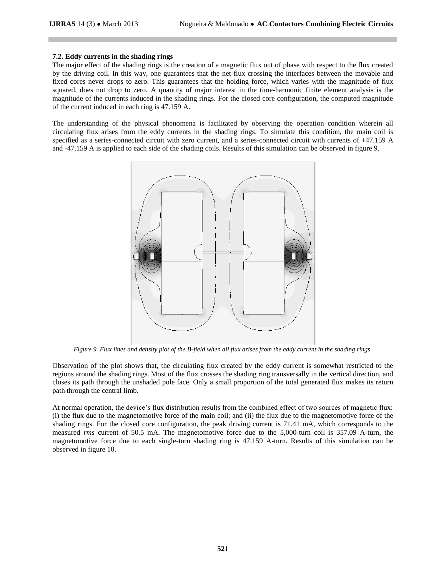# **7.2. Eddy currents in the shading rings**

The major effect of the shading rings is the creation of a magnetic flux out of phase with respect to the flux created by the driving coil. In this way, one guarantees that the net flux crossing the interfaces between the movable and fixed cores never drops to zero. This guarantees that the holding force, which varies with the magnitude of flux squared, does not drop to zero. A quantity of major interest in the time-harmonic finite element analysis is the magnitude of the currents induced in the shading rings. For the closed core configuration, the computed magnitude of the current induced in each ring is 47.159 A.

The understanding of the physical phenomena is facilitated by observing the operation condition wherein all circulating flux arises from the eddy currents in the shading rings. To simulate this condition, the main coil is specified as a series-connected circuit with zero current, and a series-connected circuit with currents of +47.159 A and -47.159 A is applied to each side of the shading coils. Results of this simulation can be observed in figure 9.



*Figure 9. Flux lines and density plot of the B-field when all flux arises from the eddy current in the shading rings.*

Observation of the plot shows that, the circulating flux created by the eddy current is somewhat restricted to the regions around the shading rings. Most of the flux crosses the shading ring transversally in the vertical direction, and closes its path through the unshaded pole face. Only a small proportion of the total generated flux makes its return path through the central limb.

At normal operation, the device's flux distribution results from the combined effect of two sources of magnetic flux: (i) the flux due to the magnetomotive force of the main coil; and (ii) the flux due to the magnetomotive force of the shading rings. For the closed core configuration, the peak driving current is 71.41 mA, which corresponds to the measured *rms* current of 50.5 mA. The magnetomotive force due to the 5,000-turn coil is 357.09 A-turn, the magnetomotive force due to each single-turn shading ring is 47.159 A-turn. Results of this simulation can be observed in figure 10.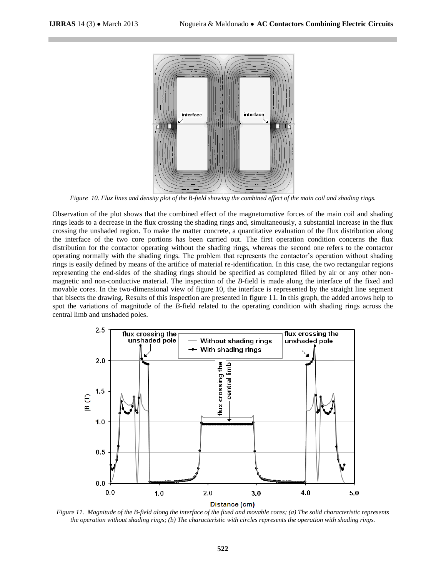

*Figure 10. Flux lines and density plot of the B-field showing the combined effect of the main coil and shading rings.*

Observation of the plot shows that the combined effect of the magnetomotive forces of the main coil and shading rings leads to a decrease in the flux crossing the shading rings and, simultaneously, a substantial increase in the flux crossing the unshaded region. To make the matter concrete, a quantitative evaluation of the flux distribution along the interface of the two core portions has been carried out. The first operation condition concerns the flux distribution for the contactor operating without the shading rings, whereas the second one refers to the contactor operating normally with the shading rings. The problem that represents the contactor's operation without shading rings is easily defined by means of the artifice of material re-identification. In this case, the two rectangular regions representing the end-sides of the shading rings should be specified as completed filled by air or any other nonmagnetic and non-conductive material. The inspection of the *B*-field is made along the interface of the fixed and movable cores. In the two-dimensional view of figure 10, the interface is represented by the straight line segment that bisects the drawing. Results of this inspection are presented in figure 11. In this graph, the added arrows help to spot the variations of magnitude of the *B*-field related to the operating condition with shading rings across the central limb and unshaded poles.



*Figure 11. Magnitude of the B-field along the interface of the fixed and movable cores; (a) The solid characteristic represents the operation without shading rings; (b) The characteristic with circles represents the operation with shading rings.*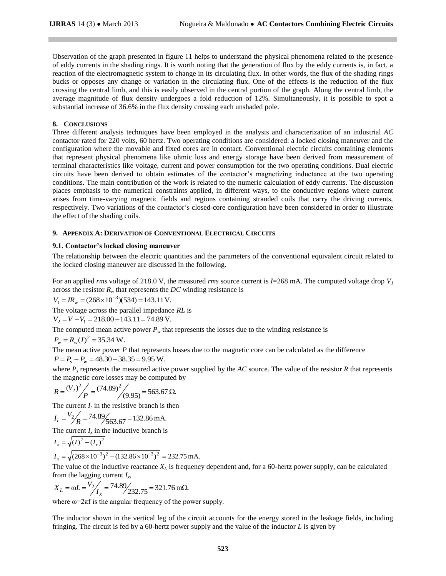Observation of the graph presented in figure 11 helps to understand the physical phenomena related to the presence of eddy currents in the shading rings. It is worth noting that the generation of flux by the eddy currents is, in fact, a reaction of the electromagnetic system to change in its circulating flux. In other words, the flux of the shading rings bucks or opposes any change or variation in the circulating flux. One of the effects is the reduction of the flux crossing the central limb, and this is easily observed in the central portion of the graph. Along the central limb, the average magnitude of flux density undergoes a fold reduction of 12%. Simultaneously, it is possible to spot a substantial increase of 36.6% in the flux density crossing each unshaded pole.

# **8. CONCLUSIONS**

Three different analysis techniques have been employed in the analysis and characterization of an industrial *AC* contactor rated for 220 volts, 60 hertz. Two operating conditions are considered: a locked closing maneuver and the configuration where the movable and fixed cores are in contact. Conventional electric circuits containing elements that represent physical phenomena like ohmic loss and energy storage have been derived from measurement of terminal characteristics like voltage, current and power consumption for the two operating conditions. Dual electric circuits have been derived to obtain estimates of the contactor's magnetizing inductance at the two operating conditions. The main contribution of the work is related to the numeric calculation of eddy currents. The discussion places emphasis to the numerical constraints applied, in different ways, to the conductive regions where current arises from time-varying magnetic fields and regions containing stranded coils that carry the driving currents, respectively. Two variations of the contactor's closed-core configuration have been considered in order to illustrate the effect of the shading coils.

# **9. APPENDIX A: DERIVATION OF CONVENTIONAL ELECTRICAL CIRCUITS**

# **9.1. Contactor's locked closing maneuver**

The relationship between the electric quantities and the parameters of the conventional equivalent circuit related to the locked closing maneuver are discussed in the following.

For an applied *rms* voltage of 218.0 V, the measured *rms* source current is  $I=268$  mA. The computed voltage drop  $V_I$ across the resistor  $R_w$  that represents the *DC* winding resistance is

 $V_1 = IR_w = (268 \times 10^{-3})(534) = 143.11 \text{ V}.$ 

The voltage across the parallel impedance *RL* is

$$
V_2 = V - V_1 = 218.00 - 143.11 = 74.89
$$
 V.

The computed mean active power  $P_w$  that represents the losses due to the winding resistance is

$$
P_w = R_w(I)^2 = 35.34 \text{ W}.
$$

The mean active power *P* that represents losses due to the magnetic core can be calculated as the difference  $P = P_s - P_w = 48.30 - 38.35 = 9.95$  W.

where  $P_s$  represents the measured active power supplied by the *AC* source. The value of the resistor *R* that represents the magnetic core losses may be computed by

$$
R = {V_2}^2 / \frac{1}{P} = (74.89)^2 / (9.95) = 563.67 \,\Omega.
$$

The current  $I_r$  in the resistive branch is then

$$
I_r = \frac{V_2}{R} = \frac{74.89}{563.67} = 132.86 \text{ mA}.
$$

The current  $I_x$  in the inductive branch is

$$
I_x = \sqrt{\left(I\right)^2 - \left(I_r\right)^2}
$$

$$
I_x = \sqrt{(268 \times 10^{-3})^2 - (132.86 \times 10^{-3})^2} = 232.75 \text{ mA}.
$$

The value of the inductive reactance *X<sup>L</sup>* is frequency dependent and, for a 60-hertz power supply, can be calculated from the lagging current *I<sup>x</sup>* ,

$$
X_L = \omega L = \frac{V_2}{I_x} = \frac{74.89}{232.75} = 321.76 \text{ m}\Omega.
$$

where  $\omega = 2\pi f$  is the angular frequency of the power supply.

The inductor shown in the vertical leg of the circuit accounts for the energy stored in the leakage fields, including fringing. The circuit is fed by a 60-hertz power supply and the value of the inductor *L* is given by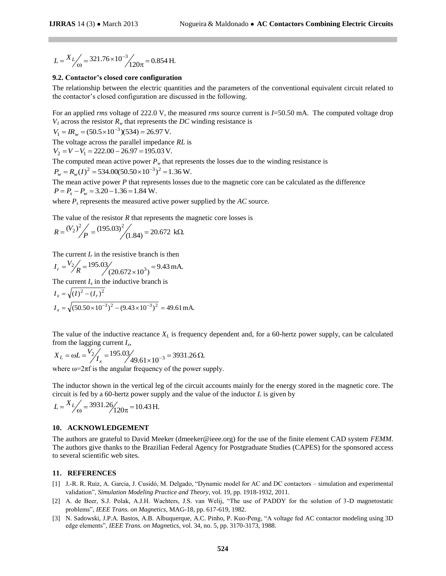$$
L = \frac{X_L}{\omega} = \frac{321.76 \times 10^{-3}}{120\pi} = 0.854 \text{ H}.
$$

#### **9.2. Contactor's closed core configuration**

The relationship between the electric quantities and the parameters of the conventional equivalent circuit related to the contactor's closed configuration are discussed in the following.

For an applied *rms* voltage of 222.0 V, the measured *rms* source current is *I*=50.50 mA. The computed voltage drop  $V_I$  across the resistor  $R_w$  that represents the *DC* winding resistance is

 $V_1 = IR_w = (50.5 \times 10^{-3})(534) = 26.97 \text{ V}.$ 

The voltage across the parallel impedance *RL* is  $V_2 = V - V_1 = 222.00 - 26.97 = 195.03$  V.

The computed mean active power  $P_w$  that represents the losses due to the winding resistance is

$$
P_w = R_w(I)^2 = 534.00(50.50 \times 10^{-3})^2 = 1.36 \,\mathrm{W}.
$$

The mean active power *P* that represents losses due to the magnetic core can be calculated as the difference  $P = P_s - P_w = 3.20 - 1.36 = 1.84$  W.

where  $P_s$  represents the measured active power supplied by the  $AC$  source.

The value of the resistor *R* that represents the magnetic core losses is

$$
R = {V_2}^2 / \frac{1}{P} = (195.03)^2 / (1.84) = 20.672 \text{ k}\Omega.
$$

The current  $I_r$  in the resistive branch is then

 $(20.672\times10^3) = 9.43 \text{ mA}.$  $=\frac{V_2}{R} = \frac{195.03}{(20.672 \times 10^3)}$  $I_r = \frac{V_r}{V}$ 

The current  $I_x$  in the inductive branch is

$$
I_x = \sqrt{(I)^2 - (I_r)^2}
$$
  
\n
$$
I_x = \sqrt{(50.50 \times 10^{-3})^2 - (9.43 \times 10^{-3})^2} = 49.61 \text{ mA}.
$$

The value of the inductive reactance *X<sup>L</sup>* is frequency dependent and, for a 60-hertz power supply, can be calculated from the lagging current *I<sup>x</sup>* ,

$$
X_L = \omega L = \frac{V_2}{I_x} = \frac{195.03}{49.61 \times 10^{-3}} = 3931.26 \,\Omega.
$$

where  $\omega = 2\pi f$  is the angular frequency of the power supply.

The inductor shown in the vertical leg of the circuit accounts mainly for the energy stored in the magnetic core. The circuit is fed by a 60-hertz power supply and the value of the inductor *L* is given by

$$
L = \frac{X_L}{\omega} = \frac{3931.26}{120\pi} = 10.43 \text{ H}.
$$

# **10. ACKNOWLEDGEMENT**

<sup>1</sup>120π = 0.854 H.<br> **ore configuration**<br>
the electric quantities and the partiguration are discussed in the folle<br>
figuration are discussed in the folle<br>
of 222.0 V, the measured *rms* so<br>
and represents the *DC* winding The authors are grateful to David Meeker (dmeeker@ieee.org) for the use of the finite element CAD system *FEMM*. The authors give thanks to the Brazilian Federal Agency for Postgraduate Studies (CAPES) for the sponsored access to several scientific web sites.

#### **11. REFERENCES**

- [1] J.-R. R. Ruiz, A. Garcia, J. Cusidó, M. Delgado, "Dynamic model for AC and DC contactors simulation and experimental validation", *Simulation Modeling Practice and Theory*, vol. 19, pp. 1918-1932, 2011.
- [2] A. de Beer, S.J. Polak, A.J.H. Wachters, J.S. van Welij, "The use of PADDY for the solution of 3-D magnetostatic problems", *IEEE Trans. on Magnetics*, MAG-18, pp. 617-619, 1982.
- [3] N. Sadowski, J.P.A. Bastos, A.B. Albuquerque, A.C. Pinho, P. Kuo-Peng, "A voltage fed AC contactor modeling using 3D edge elements", *IEEE Trans. on Magn*etics, vol. 34, no. 5, pp. 3170-3173, 1988.